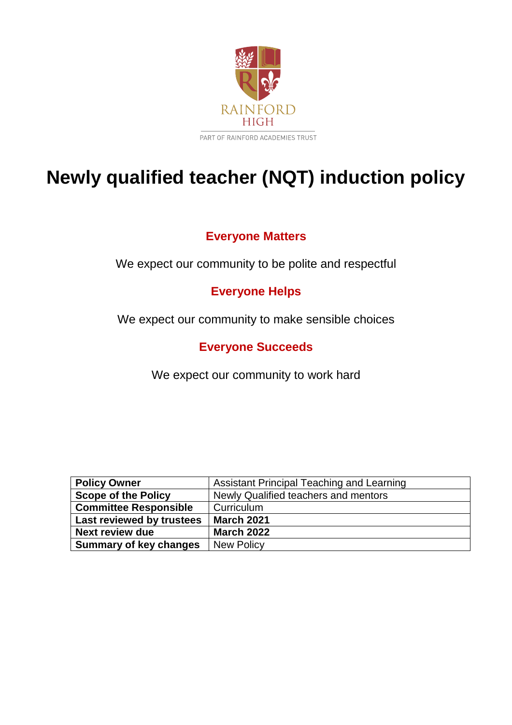

# **Newly qualified teacher (NQT) induction policy**

# **Everyone Matters**

We expect our community to be polite and respectful

# **Everyone Helps**

We expect our community to make sensible choices

# **Everyone Succeeds**

We expect our community to work hard

| <b>Policy Owner</b>           | Assistant Principal Teaching and Learning |
|-------------------------------|-------------------------------------------|
| <b>Scope of the Policy</b>    | Newly Qualified teachers and mentors      |
| <b>Committee Responsible</b>  | Curriculum                                |
| Last reviewed by trustees     | <b>March 2021</b>                         |
| <b>Next review due</b>        | <b>March 2022</b>                         |
| <b>Summary of key changes</b> | <b>New Policy</b>                         |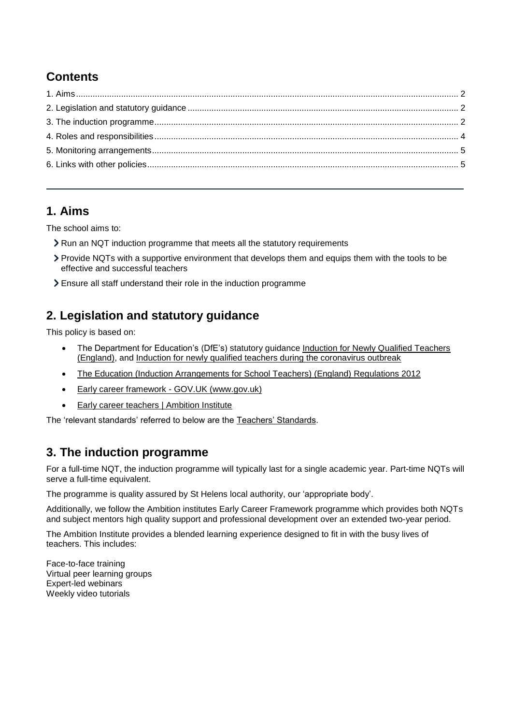# **Contents**

### <span id="page-1-0"></span>**1. Aims**

The school aims to:

- Run an NQT induction programme that meets all the statutory requirements
- Provide NQTs with a supportive environment that develops them and equips them with the tools to be effective and successful teachers
- Ensure all staff understand their role in the induction programme

# <span id="page-1-1"></span>**2. Legislation and statutory guidance**

This policy is based on:

- The Department for Education's (DfE's) statutory guidance Induction for Newly Qualified Teachers [\(England\),](https://www.gov.uk/government/publications/induction-for-newly-qualified-teachers-nqts) and [Induction for newly qualified teachers during the coronavirus outbreak](https://www.gov.uk/government/publications/coronavirus-covid-19-induction-for-newly-qualified-teachers/covid-19-induction-for-newly-qualified-teachers-guidance)
- [The Education \(Induction Arrangements for School Teachers\) \(England\) Regulations 2012](http://www.legislation.gov.uk/uksi/2012/1115/contents/made)
- [Early career framework -](https://www.gov.uk/government/publications/early-career-framework) GOV.UK (www.gov.uk)
- [Early career teachers | Ambition Institute](https://www.ambition.org.uk/ecf/)

The 'relevant standards' referred to below are the [Teachers' Standards.](https://www.gov.uk/government/publications/teachers-standards)

### <span id="page-1-2"></span>**3. The induction programme**

For a full-time NQT, the induction programme will typically last for a single academic year. Part-time NQTs will serve a full-time equivalent.

The programme is quality assured by St Helens local authority, our 'appropriate body'.

Additionally, we follow the Ambition institutes Early Career Framework programme which provides both NQTs and subject mentors high quality support and professional development over an extended two-year period.

The Ambition Institute provides a blended learning experience designed to fit in with the busy lives of teachers. This includes:

Face-to-face training Virtual peer learning groups Expert-led webinars Weekly video tutorials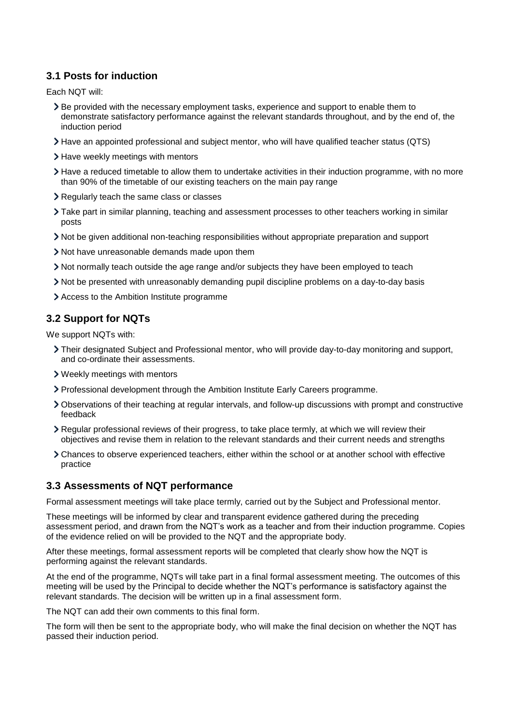#### **3.1 Posts for induction**

Each NQT will:

- Be provided with the necessary employment tasks, experience and support to enable them to demonstrate satisfactory performance against the relevant standards throughout, and by the end of, the induction period
- Have an appointed professional and subject mentor, who will have qualified teacher status (QTS)
- > Have weekly meetings with mentors
- Have a reduced timetable to allow them to undertake activities in their induction programme, with no more than 90% of the timetable of our existing teachers on the main pay range
- Regularly teach the same class or classes
- Take part in similar planning, teaching and assessment processes to other teachers working in similar posts
- Not be given additional non-teaching responsibilities without appropriate preparation and support
- Not have unreasonable demands made upon them
- Not normally teach outside the age range and/or subjects they have been employed to teach
- Not be presented with unreasonably demanding pupil discipline problems on a day-to-day basis
- Access to the Ambition Institute programme

#### **3.2 Support for NQTs**

We support NQTs with:

- Their designated Subject and Professional mentor, who will provide day-to-day monitoring and support, and co-ordinate their assessments.
- Weekly meetings with mentors
- Professional development through the Ambition Institute Early Careers programme.
- Observations of their teaching at regular intervals, and follow-up discussions with prompt and constructive feedback
- Regular professional reviews of their progress, to take place termly, at which we will review their objectives and revise them in relation to the relevant standards and their current needs and strengths
- Chances to observe experienced teachers, either within the school or at another school with effective practice

#### **3.3 Assessments of NQT performance**

Formal assessment meetings will take place termly, carried out by the Subject and Professional mentor.

These meetings will be informed by clear and transparent evidence gathered during the preceding assessment period, and drawn from the NQT's work as a teacher and from their induction programme. Copies of the evidence relied on will be provided to the NQT and the appropriate body.

After these meetings, formal assessment reports will be completed that clearly show how the NQT is performing against the relevant standards.

At the end of the programme, NQTs will take part in a final formal assessment meeting. The outcomes of this meeting will be used by the Principal to decide whether the NQT's performance is satisfactory against the relevant standards. The decision will be written up in a final assessment form.

The NQT can add their own comments to this final form.

The form will then be sent to the appropriate body, who will make the final decision on whether the NQT has passed their induction period.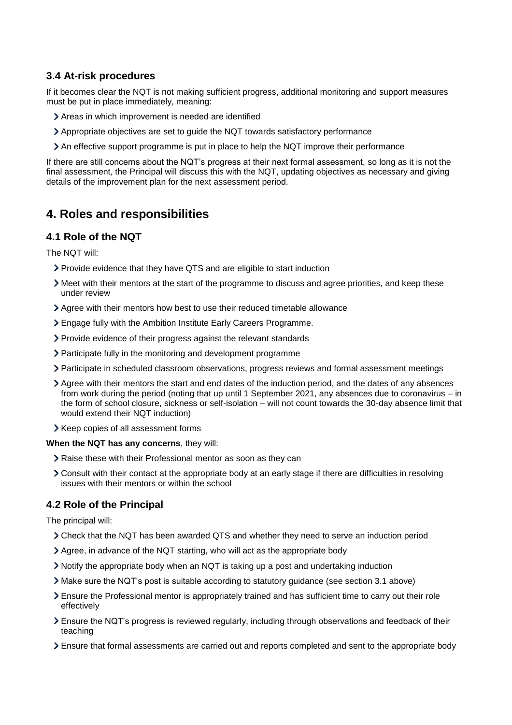#### **3.4 At-risk procedures**

If it becomes clear the NQT is not making sufficient progress, additional monitoring and support measures must be put in place immediately, meaning:

- Areas in which improvement is needed are identified
- Appropriate objectives are set to guide the NQT towards satisfactory performance
- An effective support programme is put in place to help the NQT improve their performance

If there are still concerns about the NQT's progress at their next formal assessment, so long as it is not the final assessment, the Principal will discuss this with the NQT, updating objectives as necessary and giving details of the improvement plan for the next assessment period.

### <span id="page-3-0"></span>**4. Roles and responsibilities**

#### **4.1 Role of the NQT**

The NQT will:

- Provide evidence that they have QTS and are eligible to start induction
- Meet with their mentors at the start of the programme to discuss and agree priorities, and keep these under review
- Agree with their mentors how best to use their reduced timetable allowance
- Engage fully with the Ambition Institute Early Careers Programme.
- Provide evidence of their progress against the relevant standards
- Participate fully in the monitoring and development programme
- Participate in scheduled classroom observations, progress reviews and formal assessment meetings
- Agree with their mentors the start and end dates of the induction period, and the dates of any absences from work during the period (noting that up until 1 September 2021, any absences due to coronavirus – in the form of school closure, sickness or self-isolation – will not count towards the 30-day absence limit that would extend their NQT induction)
- > Keep copies of all assessment forms

**When the NQT has any concerns**, they will:

- Raise these with their Professional mentor as soon as they can
- Consult with their contact at the appropriate body at an early stage if there are difficulties in resolving issues with their mentors or within the school

#### **4.2 Role of the Principal**

The principal will:

- Check that the NQT has been awarded QTS and whether they need to serve an induction period
- Agree, in advance of the NQT starting, who will act as the appropriate body
- Notify the appropriate body when an NQT is taking up a post and undertaking induction
- Make sure the NQT's post is suitable according to statutory guidance (see section 3.1 above)
- Ensure the Professional mentor is appropriately trained and has sufficient time to carry out their role effectively
- Ensure the NQT's progress is reviewed regularly, including through observations and feedback of their teaching
- Ensure that formal assessments are carried out and reports completed and sent to the appropriate body